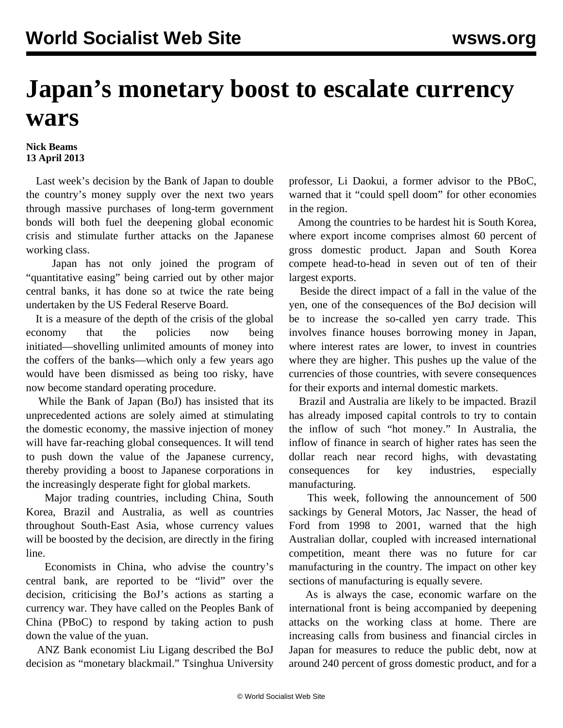## **Japan's monetary boost to escalate currency wars**

## **Nick Beams 13 April 2013**

 Last week's decision by the Bank of Japan to double the country's money supply over the next two years through massive purchases of long-term government bonds will both fuel the deepening global economic crisis and stimulate further attacks on the Japanese working class.

 Japan has not only joined the program of "quantitative easing" being carried out by other major central banks, it has done so at twice the rate being undertaken by the US Federal Reserve Board.

 It is a measure of the depth of the crisis of the global economy that the policies now being initiated—shovelling unlimited amounts of money into the coffers of the banks—which only a few years ago would have been dismissed as being too risky, have now become standard operating procedure.

 While the Bank of Japan (BoJ) has insisted that its unprecedented actions are solely aimed at stimulating the domestic economy, the massive injection of money will have far-reaching global consequences. It will tend to push down the value of the Japanese currency, thereby providing a boost to Japanese corporations in the increasingly desperate fight for global markets.

 Major trading countries, including China, South Korea, Brazil and Australia, as well as countries throughout South-East Asia, whose currency values will be boosted by the decision, are directly in the firing line.

 Economists in China, who advise the country's central bank, are reported to be "livid" over the decision, criticising the BoJ's actions as starting a currency war. They have called on the Peoples Bank of China (PBoC) to respond by taking action to push down the value of the yuan.

 ANZ Bank economist Liu Ligang described the BoJ decision as "monetary blackmail." Tsinghua University professor, Li Daokui, a former advisor to the PBoC, warned that it "could spell doom" for other economies in the region.

 Among the countries to be hardest hit is South Korea, where export income comprises almost 60 percent of gross domestic product. Japan and South Korea compete head-to-head in seven out of ten of their largest exports.

 Beside the direct impact of a fall in the value of the yen, one of the consequences of the BoJ decision will be to increase the so-called yen carry trade. This involves finance houses borrowing money in Japan, where interest rates are lower, to invest in countries where they are higher. This pushes up the value of the currencies of those countries, with severe consequences for their exports and internal domestic markets.

 Brazil and Australia are likely to be impacted. Brazil has already imposed capital controls to try to contain the inflow of such "hot money." In Australia, the inflow of finance in search of higher rates has seen the dollar reach near record highs, with devastating consequences for key industries, especially manufacturing.

 This week, following the announcement of 500 sackings by General Motors, Jac Nasser, the head of Ford from 1998 to 2001, warned that the high Australian dollar, coupled with increased international competition, meant there was no future for car manufacturing in the country. The impact on other key sections of manufacturing is equally severe.

 As is always the case, economic warfare on the international front is being accompanied by deepening attacks on the working class at home. There are increasing calls from business and financial circles in Japan for measures to reduce the public debt, now at around 240 percent of gross domestic product, and for a